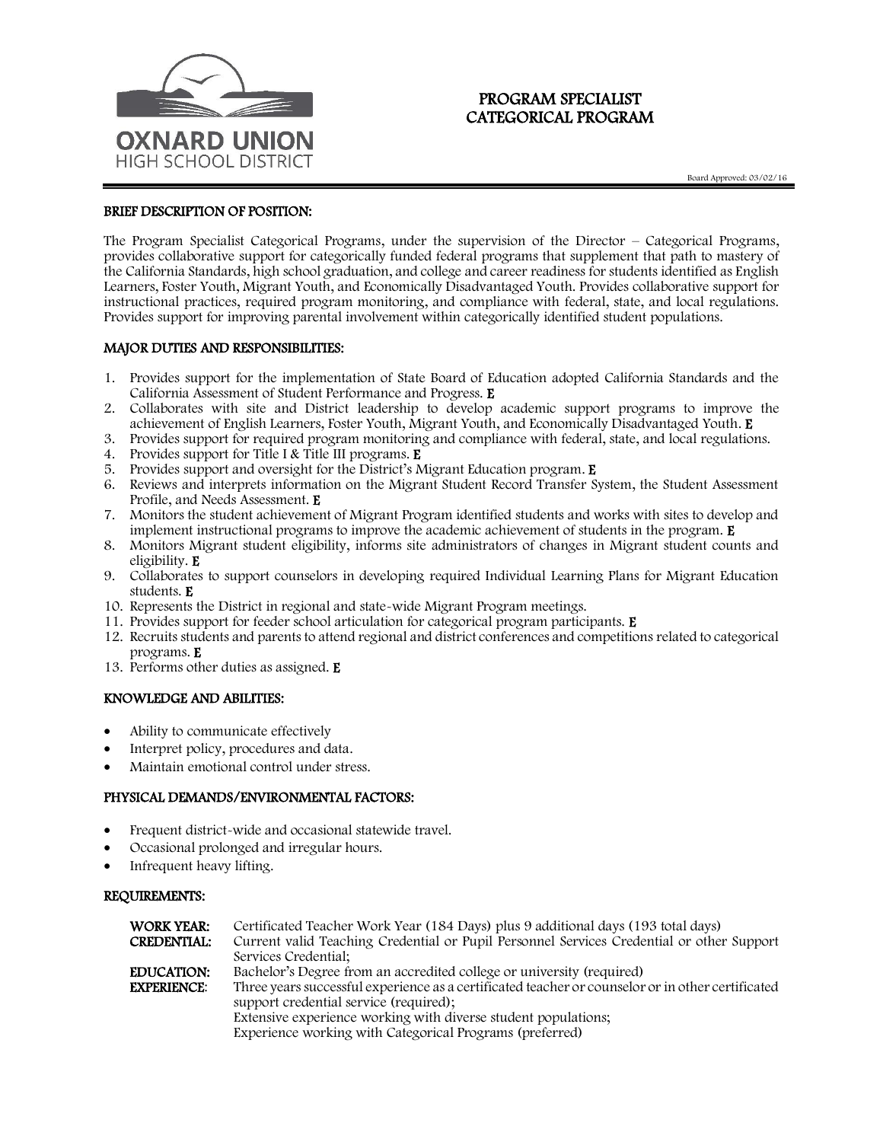

# PROGRAM SPECIALIST CATEGORICAL PROGRAM

Board Approved: 03/02/16

## BRIEF DESCRIPTION OF POSITION:

The Program Specialist Categorical Programs, under the supervision of the Director – Categorical Programs, provides collaborative support for categorically funded federal programs that supplement that path to mastery of the California Standards, high school graduation, and college and career readiness for students identified as English Learners, Foster Youth, Migrant Youth, and Economically Disadvantaged Youth. Provides collaborative support for instructional practices, required program monitoring, and compliance with federal, state, and local regulations. Provides support for improving parental involvement within categorically identified student populations.

### MAJOR DUTIES AND RESPONSIBILITIES:

- 1. Provides support for the implementation of State Board of Education adopted California Standards and the California Assessment of Student Performance and Progress. E
- 2. Collaborates with site and District leadership to develop academic support programs to improve the achievement of English Learners, Foster Youth, Migrant Youth, and Economically Disadvantaged Youth. E
- 3. Provides support for required program monitoring and compliance with federal, state, and local regulations.
- 4. Provides support for Title I & Title III programs. E
- 5. Provides support and oversight for the District's Migrant Education program. E
- 6. Reviews and interprets information on the Migrant Student Record Transfer System, the Student Assessment Profile, and Needs Assessment. E
- 7. Monitors the student achievement of Migrant Program identified students and works with sites to develop and implement instructional programs to improve the academic achievement of students in the program. E
- 8. Monitors Migrant student eligibility, informs site administrators of changes in Migrant student counts and eligibility. E
- 9. Collaborates to support counselors in developing required Individual Learning Plans for Migrant Education students. E
- 10. Represents the District in regional and state-wide Migrant Program meetings.
- 11. Provides support for feeder school articulation for categorical program participants. E
- 12. Recruits students and parents to attend regional and district conferences and competitions related to categorical programs. E
- 13. Performs other duties as assigned. E

## KNOWLEDGE AND ABILITIES:

- Ability to communicate effectively
- Interpret policy, procedures and data.
- Maintain emotional control under stress.

## PHYSICAL DEMANDS/ENVIRONMENTAL FACTORS:

- Frequent district-wide and occasional statewide travel.
- Occasional prolonged and irregular hours.
- Infrequent heavy lifting.

### REQUIREMENTS:

| WORK YEAR:         | Certificated Teacher Work Year (184 Days) plus 9 additional days (193 total days)                 |
|--------------------|---------------------------------------------------------------------------------------------------|
| CREDENTIAL:        | Current valid Teaching Credential or Pupil Personnel Services Credential or other Support         |
|                    | Services Credential:                                                                              |
| <b>EDUCATION:</b>  | Bachelor's Degree from an accredited college or university (required)                             |
| <b>EXPERIENCE:</b> | Three years successful experience as a certificated teacher or counselor or in other certificated |
|                    | support credential service (required);                                                            |
|                    | Extensive experience working with diverse student populations;                                    |
|                    | Experience working with Categorical Programs (preferred)                                          |